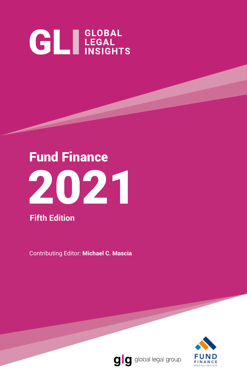# **GL** LEGAL INSIGHTS



**Fifth Edition**

Contributing Editor: **Michael C. Mascia**



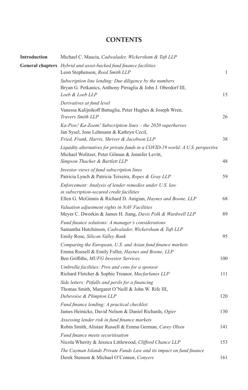#### **CONTENTS**

| <b>Introduction</b> | Michael C. Mascia, Cadwalader, Wickersham & Taft LLP                                                                                                                    |              |
|---------------------|-------------------------------------------------------------------------------------------------------------------------------------------------------------------------|--------------|
|                     | General chapters Hybrid and asset-backed fund finance facilities<br>Leon Stephenson, Reed Smith LLP                                                                     | $\mathbf{1}$ |
|                     | Subscription line lending: Due diligence by the numbers<br>Bryan G. Petkanics, Anthony Pirraglia & John J. Oberdorf III,<br>Loeb & Loeb LLP                             | 15           |
|                     | Derivatives at fund level<br>Vanessa Kalijnikoff Battaglia, Peter Hughes & Joseph Wren,<br>Travers Smith LLP                                                            | 26           |
|                     | Ka-Pow! Ka-Zoom! Subscription lines - the 2020 superheroes<br>Jan Sysel, Jons Lehmann & Kathryn Cecil,<br>Fried, Frank, Harris, Shriver & Jacobson LLP                  | 38           |
|                     | Liquidity alternatives for private funds in a COVID-19 world: A U.S. perspective<br>Michael Wolitzer, Peter Gilman & Jennifer Levitt,<br>Simpson Thacher & Bartlett LLP | 48           |
|                     | Investor views of fund subscription lines<br>Patricia Lynch & Patricia Teixeira, Ropes & Gray LLP                                                                       | 59           |
|                     | Enforcement: Analysis of lender remedies under U.S. law<br>in subscription-secured credit facilities<br>Ellen G. McGinnis & Richard D. Anigian, Haynes and Boone, LLP   | 68           |
|                     | Valuation adjustment rights in NAV Facilities<br>Meyer C. Dworkin & James H. Jiang, Davis Polk & Wardwell LLP                                                           | 89           |
|                     | Fund finance solutions: A manager's considerations<br>Samantha Hutchinson, Cadwalader, Wickersham & Taft LLP<br>Emily Rose, Silicon Valley Bank                         | 95           |
|                     | Comparing the European, U.S. and Asian fund finance markets<br>Emma Russell & Emily Fuller, Haynes and Boone, LLP<br>Ben Griffiths, MUFG Investor Services              | 100          |
|                     | Umbrella facilities: Pros and cons for a sponsor<br>Richard Fletcher & Sophie Treanor, Macfarlanes LLP                                                                  | 111          |
|                     | Side letters: Pitfalls and perils for a financing<br>Thomas Smith, Margaret O'Neill & John W. Rife III,<br>Debevoise & Plimpton LLP                                     | 120          |
|                     | Fund finance lending: A practical checklist<br>James Heinicke, David Nelson & Daniel Richards, Ogier                                                                    | 130          |
|                     | Assessing lender risk in fund finance markets<br>Robin Smith, Alistair Russell & Emma German, Carey Olsen                                                               | 141          |
|                     | Fund finance meets securitisation<br>Nicola Wherity & Jessica Littlewood, Clifford Chance LLP                                                                           | 153          |
|                     | The Cayman Islands Private Funds Law and its impact on fund finance<br>Derek Stenson & Michael O'Connor, Conyers                                                        | 161          |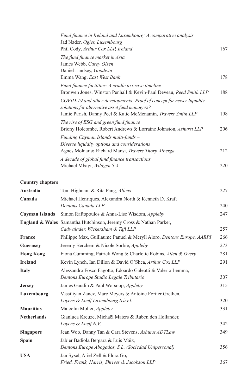| Fund finance in Ireland and Luxembourg: A comparative analysis        |     |
|-----------------------------------------------------------------------|-----|
| Jad Nader, Ogier, Luxembourg                                          |     |
| Phil Cody, Arthur Cox LLP, Ireland                                    | 167 |
| The fund finance market in Asia                                       |     |
| James Webb, Carey Olsen                                               |     |
| Daniel Lindsey, Goodwin                                               |     |
| Emma Wang, East West Bank                                             | 178 |
| Fund finance facilities: A cradle to grave timeline                   |     |
| Bronwen Jones, Winston Penhall & Kevin-Paul Deveau, Reed Smith LLP    | 188 |
| COVID-19 and other developments: Proof of concept for newer liquidity |     |
| solutions for alternative asset fund managers?                        |     |
| Jamie Parish, Danny Peel & Katie McMenamin, <i>Travers Smith LLP</i>  | 198 |
| The rise of ESG and green fund finance                                |     |
| Briony Holcombe, Robert Andrews & Lorraine Johnston, Ashurst LLP      | 206 |
| Funding Cayman Islands multi-funds –                                  |     |
| Diverse liquidity options and considerations                          |     |
| Agnes Molnar & Richard Mansi, Travers Thorp Alberga                   | 212 |
| A decade of global fund finance transactions                          |     |
| Michael Mbayi, <i>Wildgen S.A.</i>                                    | 220 |
|                                                                       |     |

#### **Country chapters**

| Australia             | Tom Highnam & Rita Pang, Allens                                                                                    | 227 |
|-----------------------|--------------------------------------------------------------------------------------------------------------------|-----|
| Canada                | Michael Henriques, Alexandra North & Kenneth D. Kraft<br>Dentons Canada LLP                                        | 240 |
| <b>Cayman Islands</b> | Simon Raftopoulos & Anna-Lise Wisdom, Appleby                                                                      | 247 |
|                       | <b>England &amp; Wales</b> Samantha Hutchinson, Jeremy Cross & Nathan Parker,<br>Cadwalader, Wickersham & Taft LLP | 257 |
| <b>France</b>         | Philippe Max, Guillaume Panuel & Meryll Aloro, Dentons Europe, AARPI                                               | 266 |
| <b>Guernsey</b>       | Jeremy Berchem & Nicole Sorbie, <i>Appleby</i>                                                                     | 273 |
| <b>Hong Kong</b>      | Fiona Cumming, Patrick Wong & Charlotte Robins, Allen & Overy                                                      | 281 |
| <b>Ireland</b>        | Kevin Lynch, Ian Dillon & David O'Shea, Arthur Cox LLP                                                             | 291 |
| <b>Italy</b>          | Alessandro Fosco Fagotto, Edoardo Galeotti & Valerio Lemma,<br>Dentons Europe Studio Legale Tributario             | 307 |
| <b>Jersey</b>         | James Gaudin & Paul Worsnop, Appleby                                                                               | 315 |
| Luxembourg            | Vassiliyan Zanev, Marc Meyers & Antoine Fortier Grethen,<br>Loyens & Loeff Luxembourg S.à r.l.                     | 320 |
| <b>Mauritius</b>      | Malcolm Moller, Appleby                                                                                            | 331 |
| <b>Netherlands</b>    | Gianluca Kreuze, Michaël Maters & Ruben den Hollander,<br>Loyens & Loeff N.V.                                      | 342 |
| <b>Singapore</b>      | Jean Woo, Danny Tan & Cara Stevens, <i>Ashurst ADTLaw</i>                                                          | 349 |
| Spain                 | Jabier Badiola Bergara & Luis Máiz,<br>Dentons Europe Abogados, S.L. (Sociedad Unipersonal)                        | 356 |
| <b>USA</b>            | Jan Sysel, Ariel Zell & Flora Go,<br>Fried, Frank, Harris, Shriver & Jacobson LLP                                  | 367 |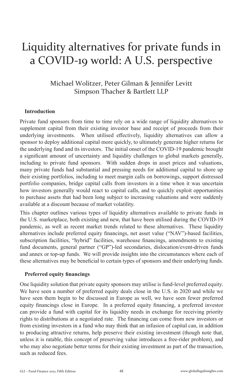## Liquidity alternatives for private funds in a COVID-19 world: A U.S. perspective

#### Michael Wolitzer, Peter Gilman & Jennifer Levitt Simpson Thacher & Bartlett LLP

#### **Introduction**

Private fund sponsors from time to time rely on a wide range of liquidity alternatives to supplement capital from their existing investor base and receipt of proceeds from their underlying investments. When utilised effectively, liquidity alternatives can allow a sponsor to deploy additional capital more quickly, to ultimately generate higher returns for the underlying fund and its investors. The initial onset of the COVID-19 pandemic brought a significant amount of uncertainty and liquidity challenges to global markets generally, including to private fund sponsors. With sudden drops in asset prices and valuations, many private funds had substantial and pressing needs for additional capital to shore up their existing portfolios, including to meet margin calls on borrowings, support distressed portfolio companies, bridge capital calls from investors in a time when it was uncertain how investors generally would react to capital calls, and to quickly exploit opportunities to purchase assets that had been long subject to increasing valuations and were suddenly available at a discount because of market volatility.

This chapter outlines various types of liquidity alternatives available to private funds in the U.S. marketplace, both existing and new, that have been utilised during the COVID-19 pandemic, as well as recent market trends related to these alternatives. These liquidity alternatives include preferred equity financings, net asset value ("NAV")-based facilities, subscription facilities, "hybrid" facilities, warehouse financings, amendments to existing fund documents, general partner ("GP")-led secondaries, dislocation/event-driven funds and annex or top-up funds. We will provide insights into the circumstances where each of these alternatives may be beneficial to certain types of sponsors and their underlying funds.

#### **Preferred equity financings**

One liquidity solution that private equity sponsors may utilise is fund-level preferred equity. We have seen a number of preferred equity deals close in the U.S. in 2020 and while we have seen them begin to be discussed in Europe as well, we have seen fewer preferred equity financings close in Europe. In a preferred equity financing, a preferred investor can provide a fund with capital for its liquidity needs in exchange for receiving priority rights to distributions at a negotiated rate. The financing can come from new investors or from existing investors in a fund who may think that an infusion of capital can, in addition to producing attractive returns, help preserve their existing investment (though note that, unless it is ratable, this concept of preserving value introduces a free-rider problem), and who may also negotiate better terms for their existing investment as part of the transaction, such as reduced fees.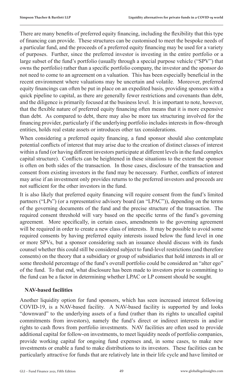There are many benefits of preferred equity financing, including the flexibility that this type of financing can provide. These structures can be customised to meet the bespoke needs of a particular fund, and the proceeds of a preferred equity financing may be used for a variety of purposes. Further, since the preferred investor is investing in the entire portfolio or a large subset of the fund's portfolio (usually through a special purpose vehicle ("SPV") that owns the portfolio) rather than a specific portfolio company, the investor and the sponsor do not need to come to an agreement on a valuation. This has been especially beneficial in the recent environment where valuations may be uncertain and volatile. Moreover, preferred equity financings can often be put in place on an expedited basis, providing sponsors with a quick pipeline to capital, as there are generally fewer restrictions and covenants than debt, and the diligence is primarily focused at the business level. It is important to note, however, that the flexible nature of preferred equity financing often means that it is more expensive than debt. As compared to debt, there may also be more tax structuring involved for the financing provider, particularly if the underlying portfolio includes interests in flow-through entities, holds real estate assets or introduces other tax considerations.

When considering a preferred equity financing, a fund sponsor should also contemplate potential conflicts of interest that may arise due to the creation of distinct classes of interest within a fund (or having different investors participate at different levels in the fund complex capital structure). Conflicts can be heightened in these situations to the extent the sponsor is often on both sides of the transaction. In those cases, disclosure of the transaction and consent from existing investors in the fund may be necessary. Further, conflicts of interest may arise if an investment only provides returns to the preferred investors and proceeds are not sufficient for the other investors in the fund.

It is also likely that preferred equity financing will require consent from the fund's limited partners ("LPs") (or a representative advisory board (an "LPAC")), depending on the terms of the governing documents of the fund and the precise structure of the transaction. The required consent threshold will vary based on the specific terms of the fund's governing agreement. More specifically, in certain cases, amendments to the governing agreement will be required in order to create a new class of interests. It may be possible to avoid some required consents by having preferred equity interests issued below the fund level in one or more SPVs, but a sponsor considering such an issuance should discuss with its funds counsel whether this could still be considered subject to fund-level restrictions (and therefore consents) on the theory that a subsidiary or group of subsidiaries that hold interests in all or some threshold percentage of the fund's overall portfolio could be considered an "alter ego" of the fund. To that end, what disclosure has been made to investors prior to committing to the fund can be a factor in determining whether LPAC or LP consent should be sought.

#### **NAV-based facilities**

Another liquidity option for fund sponsors, which has seen increased interest following COVID-19, is a NAV-based facility. A NAV-based facility is supported by and looks "downward" to the underlying assets of a fund (rather than its rights to uncalled capital commitments from investors), namely the fund's direct or indirect interests in and/or rights to cash flows from portfolio investments. NAV facilities are often used to provide additional capital for follow-on investments, to meet liquidity needs of portfolio companies, provide working capital for ongoing fund expenses and, in some cases, to make new investments or enable a fund to make distributions to its investors. These facilities can be particularly attractive for funds that are relatively late in their life cycle and have limited or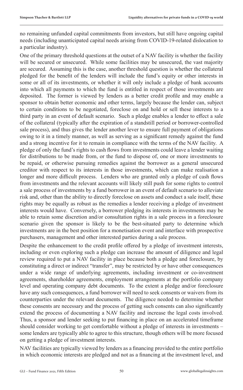no remaining unfunded capital commitments from investors, but still have ongoing capital needs (including unanticipated capital needs arising from COVID-19-related dislocation to a particular industry).

One of the primary threshold questions at the outset of a NAV facility is whether the facility will be secured or unsecured. While some facilities may be unsecured, the vast majority are secured. Assuming this is the case, another threshold question is whether the collateral pledged for the benefit of the lenders will include the fund's equity or other interests in some or all of its investments, or whether it will only include a pledge of bank accounts into which all payments to which the fund is entitled in respect of those investments are deposited. The former is viewed by lenders as a better credit profile and may enable a sponsor to obtain better economic and other terms, largely because the lender can, subject to certain conditions to be negotiated, foreclose on and hold or sell these interests to a third party in an event of default scenario. Such a pledge enables a lender to effect a sale of the collateral (typically after the expiration of a standstill period or borrower-controlled sale process), and thus gives the lender another lever to ensure full payment of obligations owing to it in a timely manner, as well as serving as a significant remedy against the fund and a strong incentive for it to remain in compliance with the terms of the NAV facility. A pledge of only the fund's rights to cash flows from investments could leave a lender waiting for distributions to be made from, or the fund to dispose of, one or more investments to be repaid, or otherwise pursuing remedies against the borrower as a general unsecured creditor with respect to its interests in those investments, which can make realisation a longer and more difficult process. Lenders who are granted only a pledge of cash flows from investments and the relevant accounts will likely still push for some rights to control a sale process of investments by a fund borrower in an event of default scenario to alleviate risk and, other than the ability to directly foreclose on assets and conduct a sale itself, these rights may be equally as robust as the remedies a lender receiving a pledge of investment interests would have. Conversely, a borrower pledging its interests in investments may be able to retain some discretion and/or consultation rights in a sale process in a foreclosure scenario given the sponsor is likely to be the best-situated party to determine which investments are in the best position for a monetisation event and interface with prospective purchasers, management and other interested parties during a sale process.

Despite the enhancement to the credit profile offered by a pledge of investment interests, including or even exploring such a pledge can increase the amount of diligence and legal review required to put a NAV facility in place because both a pledge and foreclosure, by constituting a direct or indirect "transfer", may be restricted by or have other consequences under a wide range of underlying agreements, including investment or co-investment agreements, shareholder agreements, employment arrangements at the portfolio company level and operating company debt documents. To the extent a pledge and/or foreclosure have any such consequences, a fund borrower will need to seek consents or waivers from its counterparties under the relevant documents. The diligence needed to determine whether these consents are necessary and the process of getting such consents can also significantly extend the process of documenting a NAV facility and increase the legal costs involved. Thus, a sponsor and lender seeking to put financing in place on an accelerated timeframe should consider working to get comfortable without a pledge of interests in investments – some lenders are typically able to agree to this structure, though others will be more focused on getting a pledge of investment interests.

NAV facilities are typically viewed by lenders as a financing provided to the entire portfolio in which economic interests are pledged and not as a financing at the investment level, and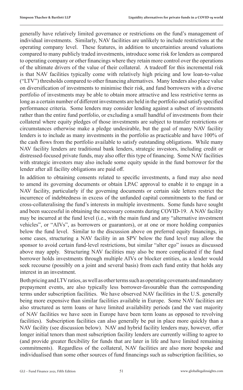generally have relatively limited governance or restrictions on the fund's management of individual investments. Similarly, NAV facilities are unlikely to include restrictions at the operating company level. These features, in addition to uncertainties around valuations compared to many publicly traded investments, introduce some risk for lenders as compared to operating company or other financings where they retain more control over the operations of the ultimate drivers of the value of their collateral. A tradeoff for this incremental risk is that NAV facilities typically come with relatively high pricing and low loan-to-value ("LTV") thresholds compared to other financing alternatives. Many lenders also place value on diversification of investments to minimise their risk, and fund borrowers with a diverse portfolio of investments may be able to obtain more attractive and less restrictive terms as long as a certain number of different investments are held in the portfolio and satisfy specified performance criteria. Some lenders may consider lending against a subset of investments rather than the entire fund portfolio, or excluding a small handful of investments from their collateral where equity pledges of those investments are subject to transfer restrictions or circumstances otherwise make a pledge undesirable, but the goal of many NAV facility lenders is to include as many investments in the portfolio as practicable and have 100% of the cash flows from the portfolio available to satisfy outstanding obligations. While many NAV facility lenders are traditional bank lenders, strategic investors, including credit or distressed-focused private funds, may also offer this type of financing. Some NAV facilities with strategic investors may also include some equity upside in the fund borrower for the lender after all facility obligations are paid off.

In addition to obtaining consents related to specific investments, a fund may also need to amend its governing documents or obtain LPAC approval to enable it to engage in a NAV facility, particularly if the governing documents or certain side letters restrict the incurrence of indebtedness in excess of the unfunded capital commitments to the fund or cross-collateralising the fund's interests in multiple investments. Some funds have sought and been successful in obtaining the necessary consents during COVID-19. A NAV facility may be incurred at the fund level (i.e., with the main fund and any "alternative investment vehicles", or "AIVs", as borrowers or guarantors), or at one or more holding companies below the fund level. Similar to the discussion above on preferred equity financings, in some cases, structuring a NAV facility in an SPV below the fund level may allow the sponsor to avoid certain fund-level restrictions, but similar "alter ego" issues as discussed above may apply. Structuring NAV facilities may also be more complicated if the fund borrower holds investments through multiple AIVs or blocker entities, as a lender would seek recourse (possibly on a joint and several basis) from each fund entity that holds any interest in an investment.

Both pricing and LTV ratios, as well as other terms such as operating covenants and mandatory prepayment events, are also typically less borrower-favourable than the corresponding terms under subscription facilities. We have observed NAV facilities in the U.S. generally being more expensive than similar facilities available in Europe. Some NAV facilities are also structured as term loans or have limited availability periods (and the vast majority of NAV facilities we have seen in Europe have been term loans as opposed to revolving facilities). Subscription facilities can also generally be put in place more quickly than a NAV facility (see discussion below). NAV and hybrid facility lenders may, however, offer longer initial tenors than most subscription facility lenders are currently willing to agree to (and provide greater flexibility for funds that are later in life and have limited remaining commitments). Regardless of the collateral, NAV facilities are also more bespoke and individualised than some other sources of fund financings such as subscription facilities, so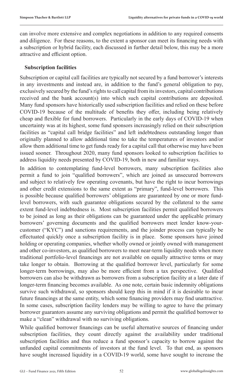can involve more extensive and complex negotiations in addition to any required consents and diligence. For these reasons, to the extent a sponsor can meet its financing needs with a subscription or hybrid facility, each discussed in further detail below, this may be a more attractive and efficient option.

#### **Subscription facilities**

Subscription or capital call facilities are typically not secured by a fund borrower's interests in any investments and instead are, in addition to the fund's general obligation to pay, exclusively secured by the fund's rights to call capital from its investors, capital contributions received and the bank account(s) into which such capital contributions are deposited. Many fund sponsors have historically used subscription facilities and relied on these before COVID-19 because of the multitude of benefits they offer, including being relatively cheap and flexible for fund borrowers. Particularly in the early days of COVID-19 when uncertainty was at its highest, some fund sponsors increasingly relied on their subscription facilities as "capital call bridge facilities" and left indebtedness outstanding longer than originally planned to allow additional time to take the temperatures of investors and/or allow them additional time to get funds ready for a capital call that otherwise may have been issued sooner. Throughout 2020, many fund sponsors looked to subscription facilities to address liquidity needs presented by COVID-19, both in new and familiar ways.

In addition to contemplating fund-level borrowers, many subscription facilities also permit a fund to join "qualified borrowers", which are joined as unsecured borrowers and subject to relatively few operating covenants, but have the right to incur borrowings and other credit extensions to the same extent as "primary", fund-level borrowers. This is possible because qualified borrowers' obligations are guaranteed by one or more fundlevel borrowers, with such guarantee obligations secured by the collateral to the same extent fund-level indebtedness is. Most subscription facilities permit qualified borrowers to be joined as long as their obligations can be guaranteed under the applicable primary borrowers' governing documents and the qualified borrowers meet lender know-yourcustomer ("KYC") and sanctions requirements, and the joinder process can typically be effectuated quickly once a subscription facility is in place. Some sponsors have joined holding or operating companies, whether wholly owned or jointly owned with management and other co-investors, as qualified borrowers to meet near-term liquidity needs when more traditional portfolio-level financings are not available on equally attractive terms or may take longer to obtain. Borrowing at the qualified borrower level, particularly for some longer-term borrowings, may also be more efficient from a tax perspective. Qualified borrowers can also be withdrawn as borrowers from a subscription facility at a later date if longer-term financing becomes available. As one note, certain basic indemnity obligations survive such withdrawal, so sponsors should keep this in mind if it is desirable to incur future financings at the same entity, which some financing providers may find unattractive. In some cases, subscription facility lenders may be willing to agree to have the primary borrower guarantors assume any surviving obligations and permit the qualified borrower to make a "clean" withdrawal with no surviving obligations.

While qualified borrower financings can be useful alternative sources of financing under subscription facilities, they count directly against the availability under traditional subscription facilities and thus reduce a fund sponsor's capacity to borrow against the unfunded capital commitments of investors at the fund level. To that end, as sponsors have sought increased liquidity in a COVID-19 world, some have sought to increase the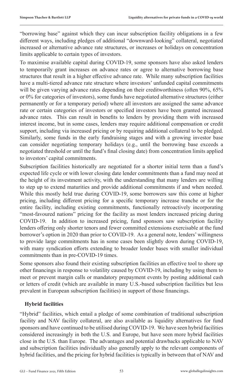"borrowing base" against which they can incur subscription facility obligations in a few different ways, including pledges of additional "downward-looking" collateral, negotiated increased or alternative advance rate structures, or increases or holidays on concentration limits applicable to certain types of investors.

To maximise available capital during COVID-19, some sponsors have also asked lenders to temporarily grant increases on advance rates or agree to alternative borrowing base structures that result in a higher effective advance rate. While many subscription facilities have a multi-tiered advance rate structure where investors' unfunded capital commitments will be given varying advance rates depending on their creditworthiness (often 90%, 65% or 0% for categories of investors), some funds have negotiated alternative structures (either permanently or for a temporary period) where all investors are assigned the same advance rate or certain categories of investors or specified investors have been granted increased advance rates. This can result in benefits to lenders by providing them with increased interest income, but in some cases, lenders may require additional compensation or credit support, including via increased pricing or by requiring additional collateral to be pledged. Similarly, some funds in the early fundraising stages and with a growing investor base can consider negotiating temporary holidays (e.g., until the borrowing base exceeds a negotiated threshold or until the fund's final closing date) from concentration limits applied to investors' capital commitments.

Subscription facilities historically are negotiated for a shorter initial term than a fund's expected life cycle or with lower closing date lender commitments than a fund may need at the height of its investment activity, with the understanding that many lenders are willing to step up to extend maturities and provide additional commitments if and when needed. While this mostly held true during COVID-19, some borrowers saw this come at higher pricing, including different pricing for a specific temporary increase tranche or for the entire facility, including existing commitments, functionally retroactively incorporating "most-favoured nations" pricing for the facility as most lenders increased pricing during COVID-19. In addition to increased pricing, fund sponsors saw subscription facility lenders offering only shorter tenors and fewer committed extensions exercisable at the fund borrower's option in 2020 than prior to COVID-19. As a general note, lenders' willingness to provide large commitments has in some cases been slightly down during COVID-19, with many syndication efforts extending to broader lender bases with smaller individual commitments than in pre-COVID-19 times.

Some sponsors also found their existing subscription facilities an effective tool to shore up other financings in response to volatility caused by COVID-19, including by using them to meet or prevent margin calls or mandatory prepayment events by posting additional cash or letters of credit (which are available in many U.S.-based subscription facilities but less prevalent in European subscription facilities) in support of those financings.

#### **Hybrid facilities**

"Hybrid" facilities, which entail a pledge of some combination of traditional subscription facility and NAV facility collateral, are also available as liquidity alternatives for fund sponsors and have continued to be utilised during COVID-19. We have seen hybrid facilities considered increasingly in both the U.S. and Europe, but have seen more hybrid facilities close in the U.S. than Europe. The advantages and potential drawbacks applicable to NAV and subscription facilities individually also generally apply to the relevant components of hybrid facilities, and the pricing for hybrid facilities is typically in between that of NAV and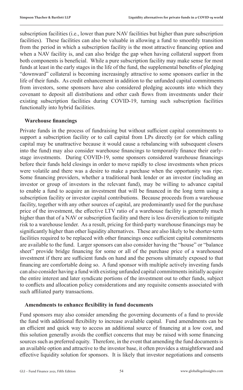subscription facilities (i.e., lower than pure NAV facilities but higher than pure subscription facilities). These facilities can also be valuable in allowing a fund to smoothly transition from the period in which a subscription facility is the most attractive financing option and when a NAV facility is, and can also bridge the gap when having collateral support from both components is beneficial. While a pure subscription facility may make sense for most funds at least in the early stages in the life of the fund, the supplemental benefits of pledging "downward" collateral is becoming increasingly attractive to some sponsors earlier in the life of their funds. As credit enhancement in addition to the unfunded capital commitments from investors, some sponsors have also considered pledging accounts into which they covenant to deposit all distributions and other cash flows from investments under their existing subscription facilities during COVID-19, turning such subscription facilities functionally into hybrid facilities.

#### **Warehouse financings**

Private funds in the process of fundraising but without sufficient capital commitments to support a subscription facility or to call capital from LPs directly (or for which calling capital may be unattractive because it would cause a rebalancing with subsequent closers into the fund) may also consider warehouse financings to temporarily finance their earlystage investments. During COVID-19, some sponsors considered warehouse financings before their funds held closings in order to move rapidly to close investments when prices were volatile and there was a desire to make a purchase when the opportunity was ripe. Some financing providers, whether a traditional bank lender or an investor (including an investor or group of investors in the relevant fund), may be willing to advance capital to enable a fund to acquire an investment that will be financed in the long term using a subscription facility or investor capital contributions. Because proceeds from a warehouse facility, together with any other sources of capital, are predominantly used for the purchase price of the investment, the effective LTV ratio of a warehouse facility is generally much higher than that of a NAV or subscription facility and there is less diversification to mitigate risk to a warehouse lender. As a result, pricing for third-party warehouse financings may be significantly higher than other liquidity alternatives. These are also likely to be shorter-term facilities required to be replaced with other financings once sufficient capital commitments are available to the fund. Larger sponsors can also consider having the "house" or "balance sheet" provide bridge financing for some or all of the purchase price of a warehoused investment if there are sufficient funds on hand and the persons ultimately exposed to that financing are comfortable doing so. A fund sponsor with multiple actively investing funds can also consider having a fund with existing unfunded capital commitments initially acquire the entire interest and later syndicate portions of the investment out to other funds, subject to conflicts and allocation policy considerations and any requisite consents associated with such affiliated party transactions.

#### **Amendments to enhance flexibility in fund documents**

Fund sponsors may also consider amending the governing documents of a fund to provide the fund with additional flexibility to increase available capital. Fund amendments can be an efficient and quick way to access an additional source of financing at a low cost, and this solution generally avoids the conflict concerns that may be raised with some financing sources such as preferred equity. Therefore, in the event that amending the fund documents is an available option and attractive to the investor base, it often provides a straightforward and effective liquidity solution for sponsors. It is likely that investor negotiations and consents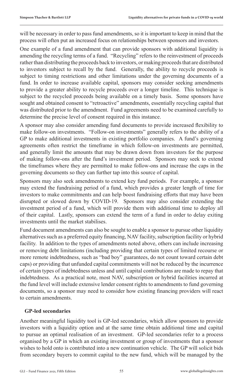will be necessary in order to pass fund amendments, so it is important to keep in mind that the process will often put an increased focus on relationships between sponsors and investors.

One example of a fund amendment that can provide sponsors with additional liquidity is amending the recycling terms of a fund. "Recycling" refers to the reinvestment of proceeds rather than distributing the proceeds back to investors, or making proceeds that are distributed to investors subject to recall by the fund. Generally, the ability to recycle proceeds is subject to timing restrictions and other limitations under the governing documents of a fund. In order to increase available capital, sponsors may consider seeking amendments to provide a greater ability to recycle proceeds over a longer timeline. This technique is subject to the recycled proceeds being available on a timely basis. Some sponsors have sought and obtained consent to "retroactive" amendments, essentially recycling capital that was distributed prior to the amendment. Fund agreements need to be examined carefully to determine the precise level of consent required in this instance.

A sponsor may also consider amending fund documents to provide increased flexibility to make follow-on investments. "Follow-on investments" generally refers to the ability of a GP to make additional investments in existing portfolio companies. A fund's governing agreements often restrict the timeframe in which follow-on investments are permitted, and generally limit the amounts that may be drawn down from investors for the purpose of making follow-ons after the fund's investment period. Sponsors may seek to extend the timeframes where they are permitted to make follow-ons and increase the caps in the governing documents so they can further tap into this source of capital.

Sponsors may also seek amendments to extend key fund periods. For example, a sponsor may extend the fundraising period of a fund, which provides a greater length of time for investors to make commitments and can help boost fundraising efforts that may have been disrupted or slowed down by COVID-19. Sponsors may also consider extending the investment period of a fund, which will provide them with additional time to deploy all of their capital. Lastly, sponsors can extend the term of a fund in order to delay exiting investments until the market stabilises.

Fund document amendments can also be sought to enable a sponsor to pursue other liquidity alternatives such as a preferred equity financing, NAV facility, subscription facility or hybrid facility. In addition to the types of amendments noted above, others can include increasing or removing debt limitations (including providing that certain types of limited recourse or more remote indebtedness, such as "bad boy" guarantees, do not count toward certain debt caps) or providing that unfunded capital commitments will not be reduced by the incurrence of certain types of indebtedness unless and until capital contributions are made to repay that indebtedness. As a practical note, most NAV, subscription or hybrid facilities incurred at the fund level will include extensive lender consent rights to amendments to fund governing documents, so a sponsor may need to consider how existing financing providers will react to certain amendments.

#### **GP-led secondaries**

Another meaningful liquidity tool is GP-led secondaries, which allow sponsors to provide investors with a liquidity option and at the same time obtain additional time and capital to pursue an optimal realisation of an investment. GP-led secondaries refer to a process organised by a GP in which an existing investment or group of investments that a sponsor wishes to hold onto is contributed into a new continuation vehicle. The GP will solicit bids from secondary buyers to commit capital to the new fund, which will be managed by the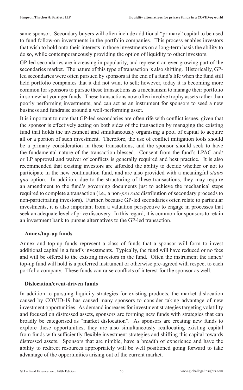same sponsor. Secondary buyers will often include additional "primary" capital to be used to fund follow-on investments in the portfolio companies. This process enables investors that wish to hold onto their interests in those investments on a long-term basis the ability to do so, while contemporaneously providing the option of liquidity to other investors.

GP-led secondaries are increasing in popularity, and represent an ever-growing part of the secondaries market. The nature of this type of transaction is also shifting. Historically, GPled secondaries were often pursued by sponsors at the end of a fund's life when the fund still held portfolio companies that it did not want to sell; however, today it is becoming more common for sponsors to pursue these transactions as a mechanism to manage their portfolio in somewhat younger funds. These transactions now often involve trophy assets rather than poorly performing investments, and can act as an instrument for sponsors to seed a new business and fundraise around a well-performing asset.

It is important to note that GP-led secondaries are often rife with conflict issues, given that the sponsor is effectively acting on both sides of the transaction by managing the existing fund that holds the investment and simultaneously organising a pool of capital to acquire all or a portion of such investment. Therefore, the use of conflict mitigation tools should be a primary consideration in these transactions, and the sponsor should seek to have the fundamental nature of the transaction blessed. Consent from the fund's LPAC and/ or LP approval and waiver of conflicts is generally required and best practice. It is also recommended that existing investors are afforded the ability to decide whether or not to participate in the new continuation fund, and are also provided with a meaningful *status quo* option. In addition, due to the structuring of these transactions, they may require an amendment to the fund's governing documents just to achieve the mechanical steps required to complete a transaction (i.e., a non-*pro rata* distribution of secondary proceeds to non-participating investors). Further, because GP-led secondaries often relate to particular investments, it is also important from a valuation perspective to engage in processes that seek an adequate level of price discovery. In this regard, it is common for sponsors to retain an investment bank to pursue alternatives to the GP-led transaction.

#### **Annex/top-up funds**

Annex and top-up funds represent a class of funds that a sponsor will form to invest additional capital in a fund's investments. Typically, the fund will have reduced or no fees and will be offered to the existing investors in the fund. Often the instrument the annex/ top-up fund will hold is a preferred instrument or otherwise pre-agreed with respect to each portfolio company. These funds can raise conflicts of interest for the sponsor as well.

#### **Dislocation/event-driven funds**

In addition to pursuing liquidity strategies for existing products, the market dislocation caused by COVID-19 has caused many sponsors to consider taking advantage of new investment opportunities. As demand increases for investment strategies targeting volatility and focused on distressed assets, sponsors are forming new funds with strategies that can broadly be categorised as "market dislocation". As sponsors are creating new funds to explore these opportunities, they are also simultaneously reallocating existing capital from funds with sufficiently flexible investment strategies and shifting this capital towards distressed assets. Sponsors that are nimble, have a breadth of experience and have the ability to redirect resources appropriately will be well positioned going forward to take advantage of the opportunities arising out of the current market.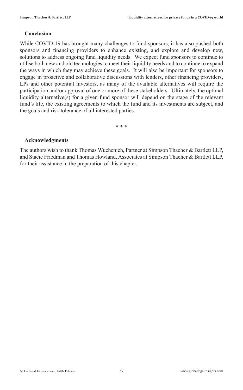#### **Conclusion**

While COVID-19 has brought many challenges to fund sponsors, it has also pushed both sponsors and financing providers to enhance existing, and explore and develop new, solutions to address ongoing fund liquidity needs. We expect fund sponsors to continue to utilise both new and old technologies to meet their liquidity needs and to continue to expand the ways in which they may achieve these goals. It will also be important for sponsors to engage in proactive and collaborative discussions with lenders, other financing providers, LPs and other potential investors, as many of the available alternatives will require the participation and/or approval of one or more of these stakeholders. Ultimately, the optimal liquidity alternative(s) for a given fund sponsor will depend on the stage of the relevant fund's life, the existing agreements to which the fund and its investments are subject, and the goals and risk tolerance of all interested parties.

\* \* \*

#### **Acknowledgments**

The authors wish to thank Thomas Wuchenich, Partner at Simpson Thacher & Bartlett LLP, and Stacie Friedman and Thomas Howland, Associates at Simpson Thacher & Bartlett LLP, for their assistance in the preparation of this chapter.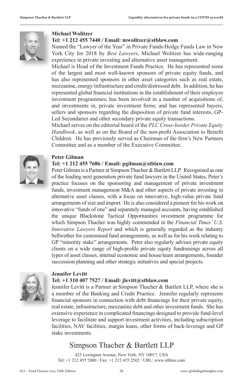

#### **Michael Wolitzer**

#### **Tel: +1 212 455 7440 / Email: mwolitzer@stblaw.com**

Named the "Lawyer of the Year" in Private Funds/Hedge Funds Law in New York City for 2018 by *Best Lawyers*, Michael Wolitzer has wide-ranging experience in private investing and alternative asset management.

Michael is Head of the Investment Funds Practice. He has represented some of the largest and most well-known sponsors of private equity funds, and has also represented sponsors in other asset categories such as real estate, mezzanine, energy/infrastructure and credit/distressed debt. In addition, he has represented global financial institutions in the establishment of their employee investment programmes; has been involved in a number of acquisitions of, and investments in, private investment firms; and has represented buyers, sellers and sponsors regarding the disposition of private fund interests, GP-Led Secondaries and other secondary private equity transactions.

Michael serves on the editorial board of the *PLC Cross-border Private Equity Handbook*, as well as on the Board of the non-profit Association to Benefit Children. He has previously served as Chairman of the firm's New Partners Committee and as a member of the Executive Committee.



#### **Peter Gilman**

#### **Tel: +1 212 455 7686 / Email: pgilman@stblaw.com**

Peter Gilman is a Partner at Simpson Thacher & Bartlett LLP. Recognised as one of the leading next generation private fund lawyers in the United States, Peter's practice focuses on the sponsoring and management of private investment funds, investment management M&A and other aspects of private investing in alternative asset classes, with a focus on innovative, high-value private fund arrangements of size and import. He is also considered a pioneer for his work on innovative "funds of one" and separately managed accounts, having established the unique Blackstone Tactical Opportunities investment programme for which Simpson Thacher was highly commended in the *Financial Times' U.S. Innovative Lawyers Report* and which is generally regarded as the industry bellwether for customised fund arrangements, as well as for his work relating to GP "minority stake" arrangements. Peter also regularly advises private equity clients on a wide range of high-profile private equity fundraisings across all types of asset classes, internal economic and house/team arrangements, founder succession planning and other strategic initiatives and special projects.



#### **Jennifer Levitt**

#### **Tel: +1 310 407 7527 / Email: jlevitt@stblaw.com**

Jennifer Levitt is a Partner at Simpson Thacher & Bartlett LLP, where she is a member of the Banking and Credit Practice. Jennifer regularly represents financial sponsors in connection with debt financings for their private equity, real estate, infrastructure, mezzanine debt and other investment funds. She has extensive experience in complicated financings designed to provide fund-level leverage to facilitate and support investment activities, including subscription facilities, NAV facilities, margin loans, other forms of back-leverage and GP stake investments.

#### Simpson Thacher & Bartlett LLP

425 Lexington Avenue, New York, NY 10017, USA Tel: +1 212 455 2000 / Fax: +1 212 455 2502 / URL: www.stblaw.com